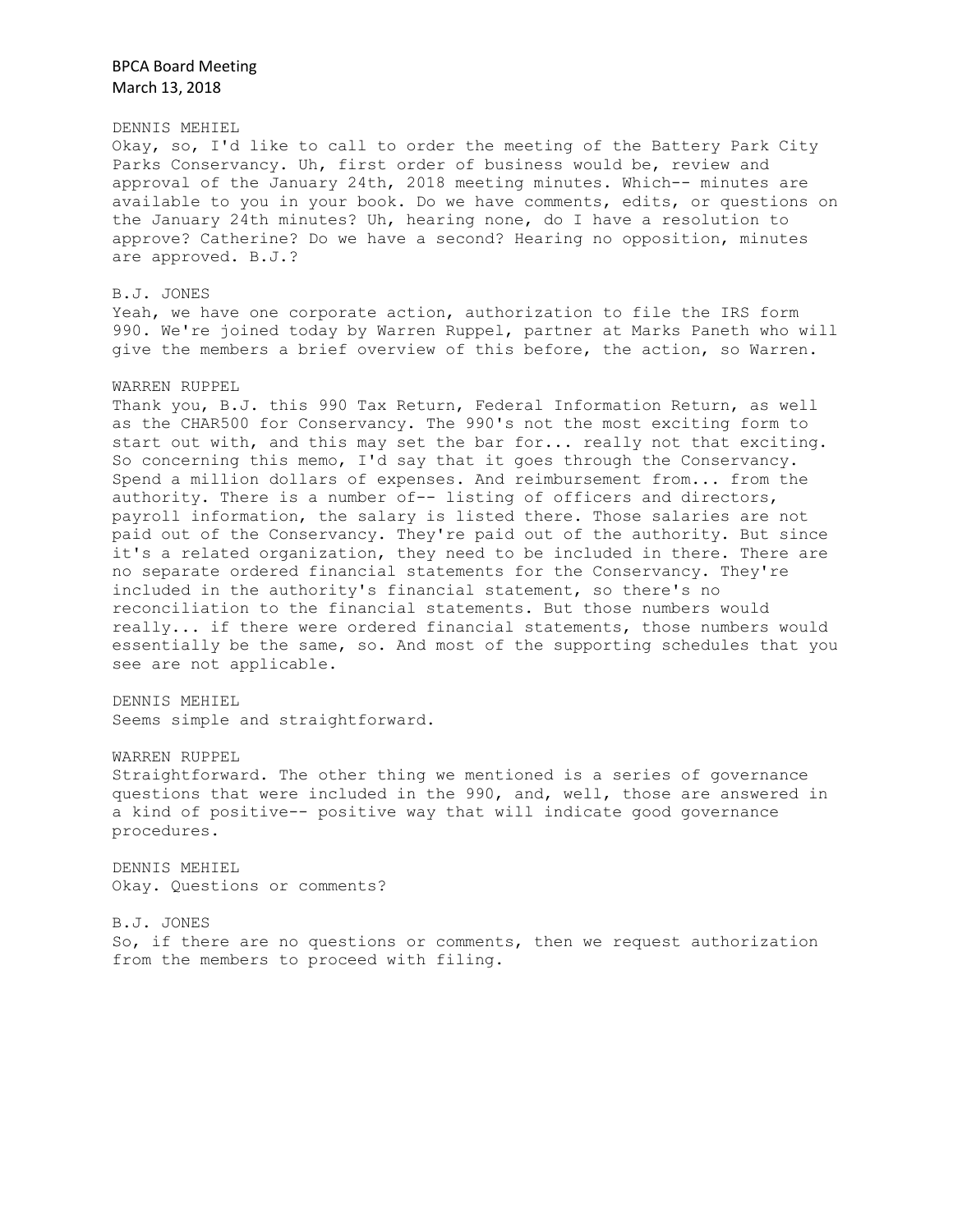DENNIS MEHIEL Okay, so, I'd like to call to order the meeting of the Battery Park City Parks Conservancy. Uh, first order of business would be, review and approval of the January 24th, 2018 meeting minutes. Which-- minutes are available to you in your book. Do we have comments, edits, or questions on the January 24th minutes? Uh, hearing none, do I have a resolution to approve? Catherine? Do we have a second? Hearing no opposition, minutes are approved. B.J.?

B.J. JONES Yeah, we have one corporate action, authorization to file the IRS form 990. We're joined today by Warren Ruppel, partner at Marks Paneth who will give the members a brief overview of this before, the action, so Warren.

#### WARREN RUPPEL

Thank you, B.J. this 990 Tax Return, Federal Information Return, as well as the CHAR500 for Conservancy. The 990's not the most exciting form to start out with, and this may set the bar for... really not that exciting. So concerning this memo, I'd say that it goes through the Conservancy. Spend a million dollars of expenses. And reimbursement from... from the authority. There is a number of-- listing of officers and directors, payroll information, the salary is listed there. Those salaries are not paid out of the Conservancy. They're paid out of the authority. But since it's a related organization, they need to be included in there. There are no separate ordered financial statements for the Conservancy. They're included in the authority's financial statement, so there's no reconciliation to the financial statements. But those numbers would really... if there were ordered financial statements, those numbers would essentially be the same, so. And most of the supporting schedules that you see are not applicable.

DENNIS MEHIEL Seems simple and straightforward.

#### WARREN RUPPEL

Straightforward. The other thing we mentioned is a series of governance questions that were included in the 990, and, well, those are answered in a kind of positive-- positive way that will indicate good governance procedures.

DENNIS MEHIEL Okay. Questions or comments?

B.J. JONES So, if there are no questions or comments, then we request authorization from the members to proceed with filing.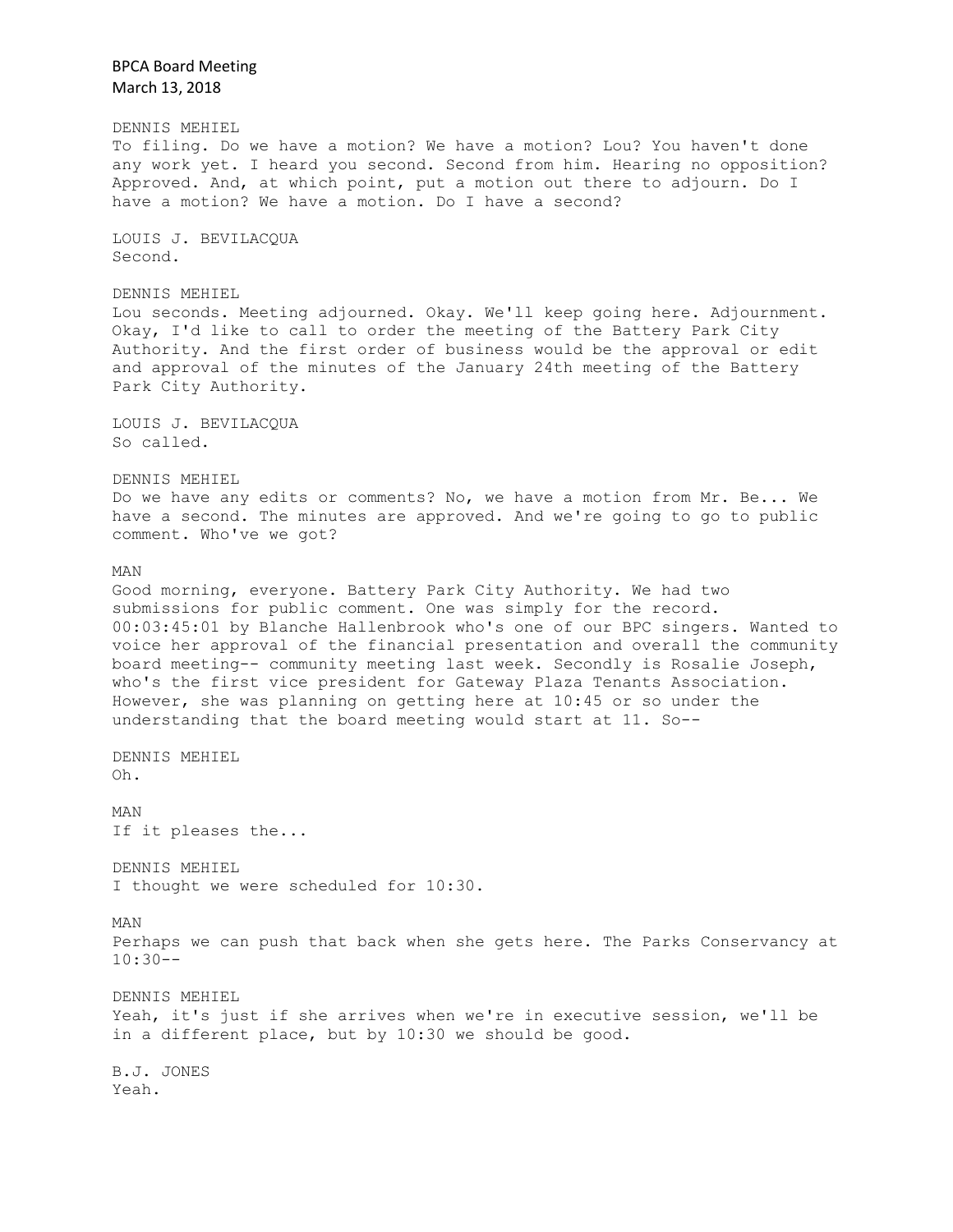BPCA Board Meeting March 13, 2018 DENNIS MEHIEL To filing. Do we have a motion? We have a motion? Lou? You haven't done any work yet. I heard you second. Second from him. Hearing no opposition? Approved. And, at which point, put a motion out there to adjourn. Do I have a motion? We have a motion. Do I have a second? LOUIS J. BEVILACQUA Second. DENNIS MEHIEL Lou seconds. Meeting adjourned. Okay. We'll keep going here. Adjournment. Okay, I'd like to call to order the meeting of the Battery Park City Authority. And the first order of business would be the approval or edit and approval of the minutes of the January 24th meeting of the Battery Park City Authority. LOUIS J. BEVILACQUA So called. DENNIS MEHIEL Do we have any edits or comments? No, we have a motion from Mr. Be... We have a second. The minutes are approved. And we're going to go to public comment. Who've we got? MAN Good morning, everyone. Battery Park City Authority. We had two submissions for public comment. One was simply for the record. 00:03:45:01 by Blanche Hallenbrook who's one of our BPC singers. Wanted to voice her approval of the financial presentation and overall the community board meeting-- community meeting last week. Secondly is Rosalie Joseph, who's the first vice president for Gateway Plaza Tenants Association. However, she was planning on getting here at 10:45 or so under the understanding that the board meeting would start at 11. So-- DENNIS MEHIEL Oh. MAN If it pleases the... DENNIS MEHIEL I thought we were scheduled for 10:30. MAN Perhaps we can push that back when she gets here. The Parks Conservancy at 10:30-- DENNIS MEHIEL Yeah, it's just if she arrives when we're in executive session, we'll be in a different place, but by 10:30 we should be good. B.J. JONES Yeah.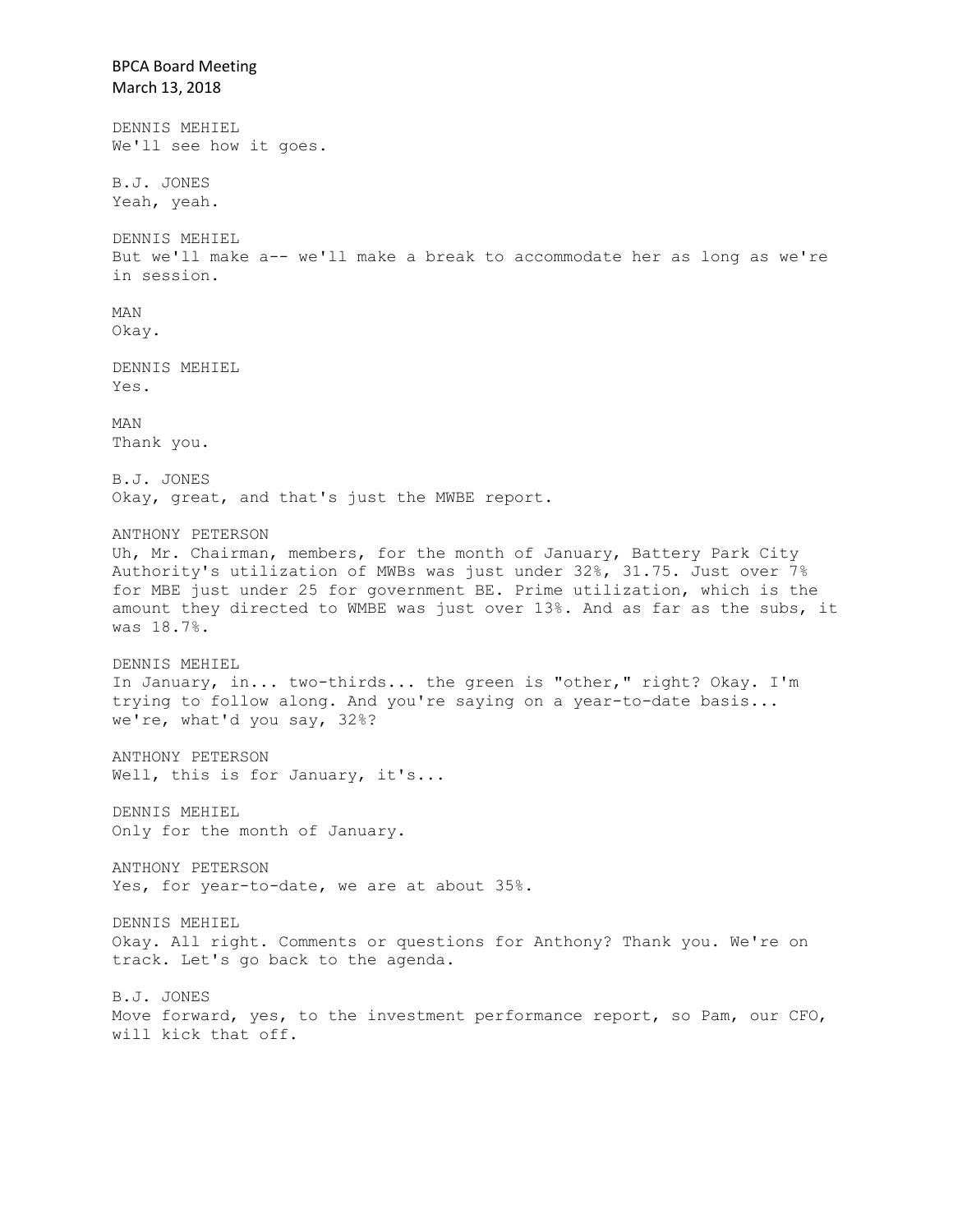BPCA Board Meeting March 13, 2018 DENNIS MEHIEL We'll see how it goes. B.J. JONES Yeah, yeah. DENNIS MEHIEL But we'll make a-- we'll make a break to accommodate her as long as we're in session. MAN Okay. DENNIS MEHIEL Yes. MAN Thank you. B.J. JONES Okay, great, and that's just the MWBE report. ANTHONY PETERSON Uh, Mr. Chairman, members, for the month of January, Battery Park City Authority's utilization of MWBs was just under 32%, 31.75. Just over 7% for MBE just under 25 for government BE. Prime utilization, which is the amount they directed to WMBE was just over 13%. And as far as the subs, it was 18.7%. DENNIS MEHIEL In January, in... two-thirds... the green is "other," right? Okay. I'm trying to follow along. And you're saying on a year-to-date basis... we're, what'd you say, 32%? ANTHONY PETERSON Well, this is for January, it's... DENNIS MEHIEL Only for the month of January. ANTHONY PETERSON Yes, for year-to-date, we are at about 35%. DENNIS MEHIEL Okay. All right. Comments or questions for Anthony? Thank you. We're on track. Let's go back to the agenda. B.J. JONES Move forward, yes, to the investment performance report, so Pam, our CFO, will kick that off.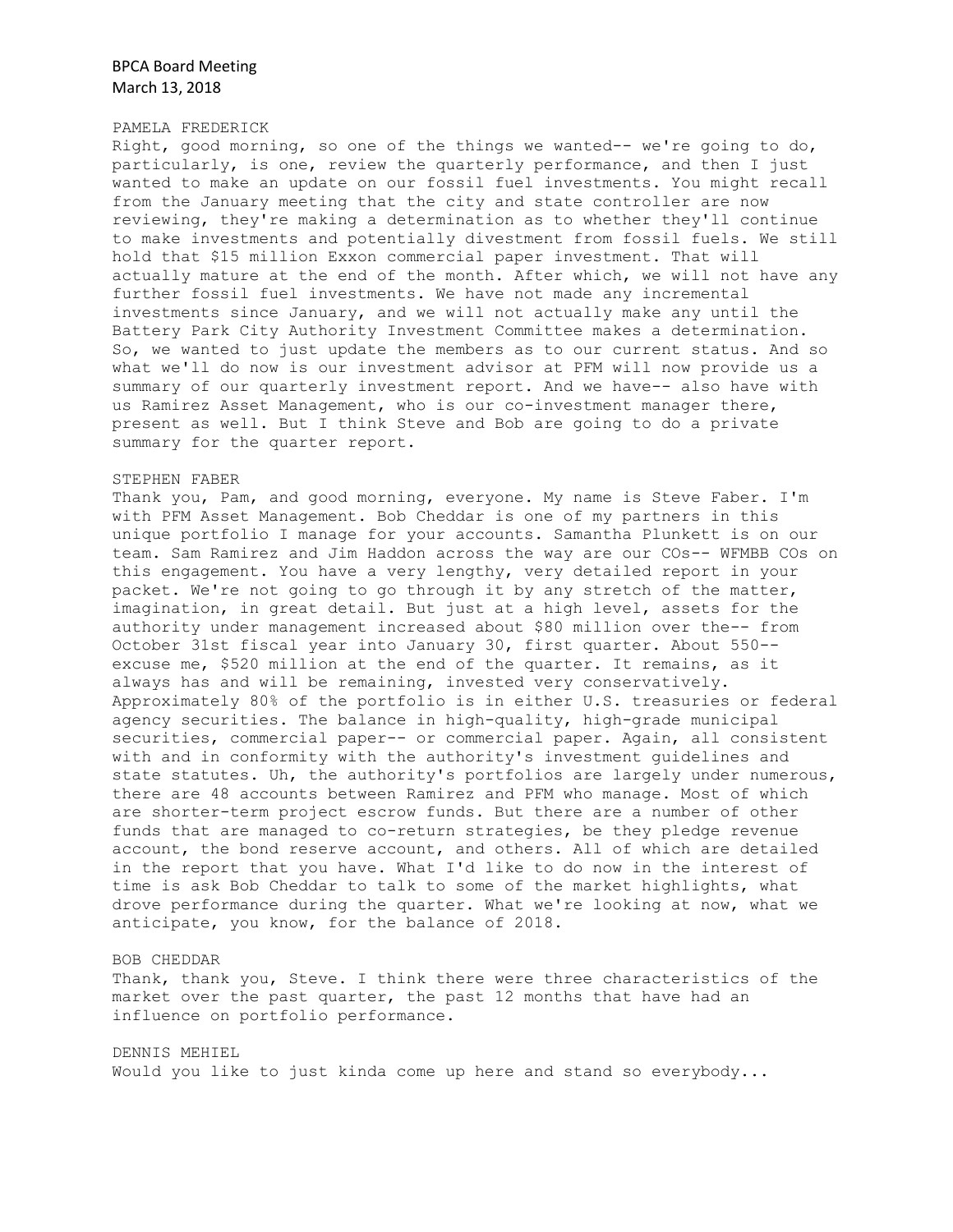### PAMELA FREDERICK

Right, good morning, so one of the things we wanted-- we're going to do, particularly, is one, review the quarterly performance, and then I just wanted to make an update on our fossil fuel investments. You might recall from the January meeting that the city and state controller are now reviewing, they're making a determination as to whether they'll continue to make investments and potentially divestment from fossil fuels. We still hold that \$15 million Exxon commercial paper investment. That will actually mature at the end of the month. After which, we will not have any further fossil fuel investments. We have not made any incremental investments since January, and we will not actually make any until the Battery Park City Authority Investment Committee makes a determination. So, we wanted to just update the members as to our current status. And so what we'll do now is our investment advisor at PFM will now provide us a summary of our quarterly investment report. And we have-- also have with us Ramirez Asset Management, who is our co-investment manager there, present as well. But I think Steve and Bob are going to do a private summary for the quarter report.

### STEPHEN FABER

Thank you, Pam, and good morning, everyone. My name is Steve Faber. I'm with PFM Asset Management. Bob Cheddar is one of my partners in this unique portfolio I manage for your accounts. Samantha Plunkett is on our team. Sam Ramirez and Jim Haddon across the way are our COs-- WFMBB COs on this engagement. You have a very lengthy, very detailed report in your packet. We're not going to go through it by any stretch of the matter, imagination, in great detail. But just at a high level, assets for the authority under management increased about \$80 million over the-- from October 31st fiscal year into January 30, first quarter. About 550- excuse me, \$520 million at the end of the quarter. It remains, as it always has and will be remaining, invested very conservatively. Approximately 80% of the portfolio is in either U.S. treasuries or federal agency securities. The balance in high-quality, high-grade municipal securities, commercial paper-- or commercial paper. Again, all consistent with and in conformity with the authority's investment guidelines and state statutes. Uh, the authority's portfolios are largely under numerous, there are 48 accounts between Ramirez and PFM who manage. Most of which are shorter-term project escrow funds. But there are a number of other funds that are managed to co-return strategies, be they pledge revenue account, the bond reserve account, and others. All of which are detailed in the report that you have. What I'd like to do now in the interest of time is ask Bob Cheddar to talk to some of the market highlights, what drove performance during the quarter. What we're looking at now, what we anticipate, you know, for the balance of 2018.

#### BOB CHEDDAR

Thank, thank you, Steve. I think there were three characteristics of the market over the past quarter, the past 12 months that have had an influence on portfolio performance.

DENNIS MEHIEL Would you like to just kinda come up here and stand so everybody...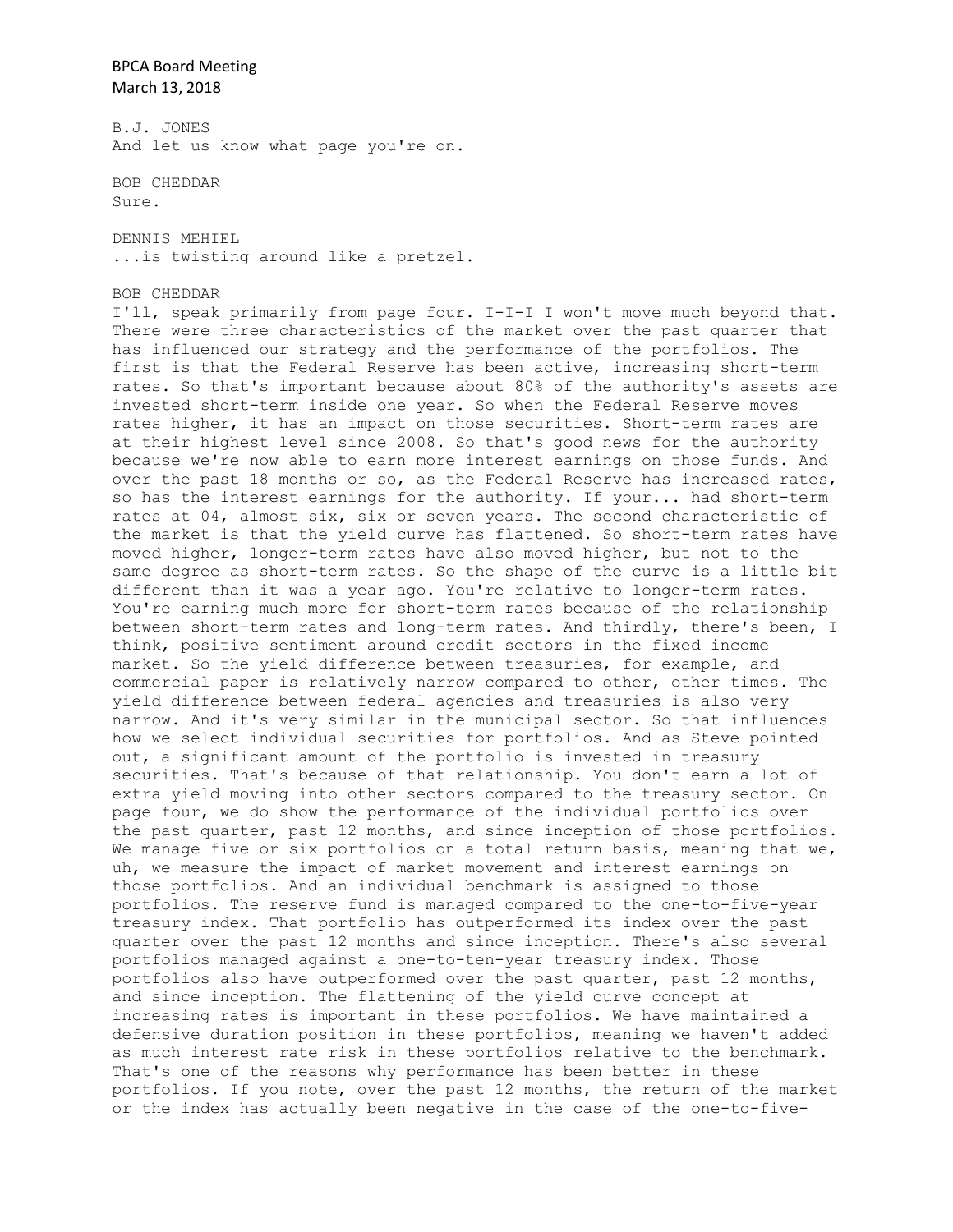B.J. JONES And let us know what page you're on.

BOB CHEDDAR Sure.

DENNIS MEHIEL ...is twisting around like a pretzel.

BOB CHEDDAR

I'll, speak primarily from page four. I-I-I I won't move much beyond that. There were three characteristics of the market over the past quarter that has influenced our strategy and the performance of the portfolios. The first is that the Federal Reserve has been active, increasing short-term rates. So that's important because about 80% of the authority's assets are invested short-term inside one year. So when the Federal Reserve moves rates higher, it has an impact on those securities. Short-term rates are at their highest level since 2008. So that's good news for the authority because we're now able to earn more interest earnings on those funds. And over the past 18 months or so, as the Federal Reserve has increased rates, so has the interest earnings for the authority. If your... had short-term rates at 04, almost six, six or seven years. The second characteristic of the market is that the yield curve has flattened. So short-term rates have moved higher, longer-term rates have also moved higher, but not to the same degree as short-term rates. So the shape of the curve is a little bit different than it was a year ago. You're relative to longer-term rates. You're earning much more for short-term rates because of the relationship between short-term rates and long-term rates. And thirdly, there's been, I think, positive sentiment around credit sectors in the fixed income market. So the yield difference between treasuries, for example, and commercial paper is relatively narrow compared to other, other times. The yield difference between federal agencies and treasuries is also very narrow. And it's very similar in the municipal sector. So that influences how we select individual securities for portfolios. And as Steve pointed out, a significant amount of the portfolio is invested in treasury securities. That's because of that relationship. You don't earn a lot of extra yield moving into other sectors compared to the treasury sector. On page four, we do show the performance of the individual portfolios over the past quarter, past 12 months, and since inception of those portfolios. We manage five or six portfolios on a total return basis, meaning that we, uh, we measure the impact of market movement and interest earnings on those portfolios. And an individual benchmark is assigned to those portfolios. The reserve fund is managed compared to the one-to-five-year treasury index. That portfolio has outperformed its index over the past quarter over the past 12 months and since inception. There's also several portfolios managed against a one-to-ten-year treasury index. Those portfolios also have outperformed over the past quarter, past 12 months, and since inception. The flattening of the yield curve concept at increasing rates is important in these portfolios. We have maintained a defensive duration position in these portfolios, meaning we haven't added as much interest rate risk in these portfolios relative to the benchmark. That's one of the reasons why performance has been better in these portfolios. If you note, over the past 12 months, the return of the market or the index has actually been negative in the case of the one-to-five-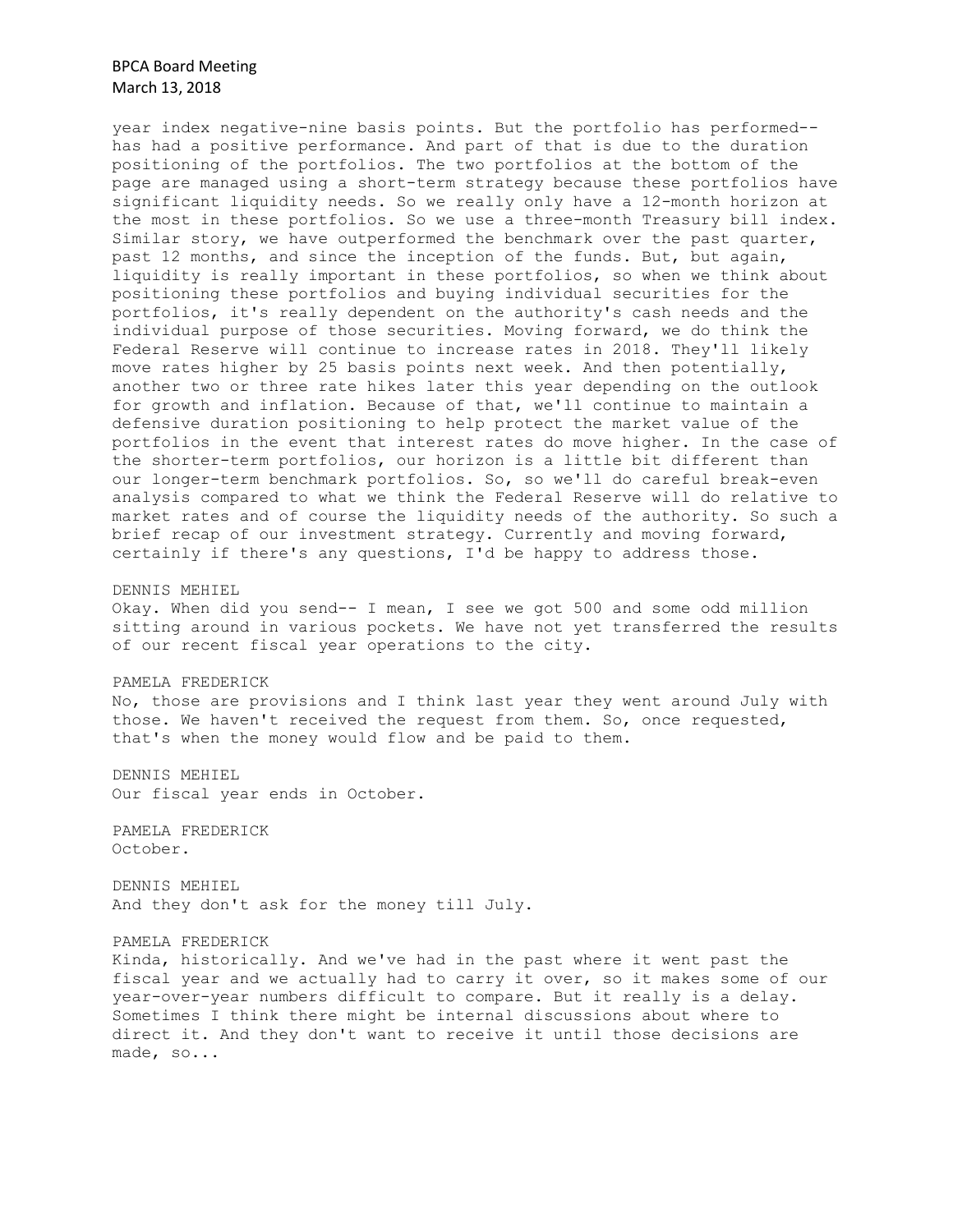year index negative-nine basis points. But the portfolio has performed- has had a positive performance. And part of that is due to the duration positioning of the portfolios. The two portfolios at the bottom of the page are managed using a short-term strategy because these portfolios have significant liquidity needs. So we really only have a 12-month horizon at the most in these portfolios. So we use a three-month Treasury bill index. Similar story, we have outperformed the benchmark over the past quarter, past 12 months, and since the inception of the funds. But, but again, liquidity is really important in these portfolios, so when we think about positioning these portfolios and buying individual securities for the portfolios, it's really dependent on the authority's cash needs and the individual purpose of those securities. Moving forward, we do think the Federal Reserve will continue to increase rates in 2018. They'll likely move rates higher by 25 basis points next week. And then potentially, another two or three rate hikes later this year depending on the outlook for growth and inflation. Because of that, we'll continue to maintain a defensive duration positioning to help protect the market value of the portfolios in the event that interest rates do move higher. In the case of the shorter-term portfolios, our horizon is a little bit different than our longer-term benchmark portfolios. So, so we'll do careful break-even analysis compared to what we think the Federal Reserve will do relative to market rates and of course the liquidity needs of the authority. So such a brief recap of our investment strategy. Currently and moving forward, certainly if there's any questions, I'd be happy to address those.

#### DENNIS MEHIEL

Okay. When did you send-- I mean, I see we got 500 and some odd million sitting around in various pockets. We have not yet transferred the results of our recent fiscal year operations to the city.

#### PAMELA FREDERICK

No, those are provisions and I think last year they went around July with those. We haven't received the request from them. So, once requested, that's when the money would flow and be paid to them.

DENNIS MEHIEL Our fiscal year ends in October.

PAMELA FREDERICK October.

DENNIS MEHIEL And they don't ask for the money till July.

### PAMELA FREDERICK

Kinda, historically. And we've had in the past where it went past the fiscal year and we actually had to carry it over, so it makes some of our year-over-year numbers difficult to compare. But it really is a delay. Sometimes I think there might be internal discussions about where to direct it. And they don't want to receive it until those decisions are made, so...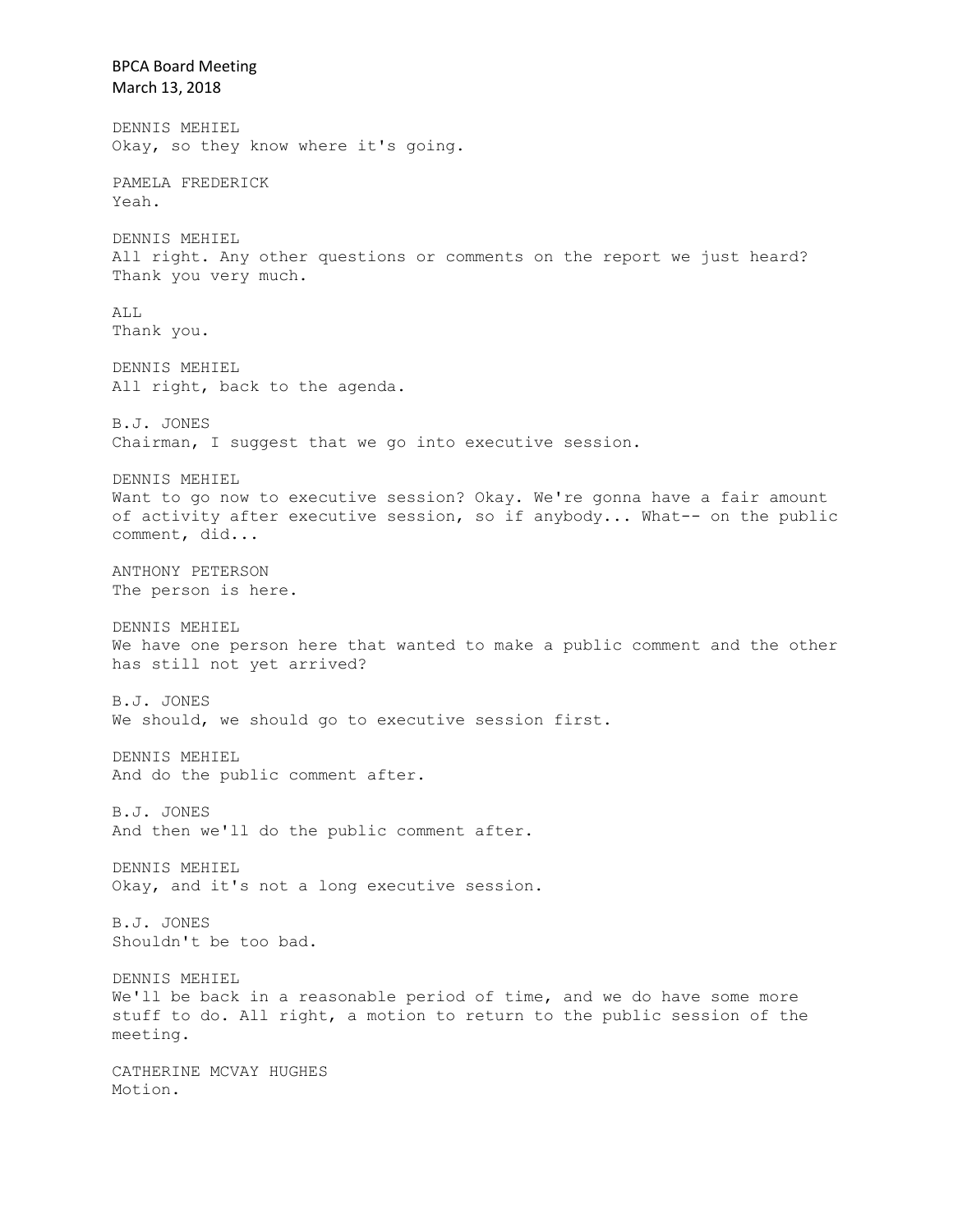BPCA Board Meeting March 13, 2018 DENNIS MEHIEL Okay, so they know where it's going. PAMELA FREDERICK Yeah. DENNIS MEHIEL All right. Any other questions or comments on the report we just heard? Thank you very much. ALL Thank you. DENNIS MEHIEL All right, back to the agenda. B.J. JONES Chairman, I suggest that we go into executive session. DENNIS MEHIEL Want to go now to executive session? Okay. We're gonna have a fair amount of activity after executive session, so if anybody... What-- on the public comment, did... ANTHONY PETERSON The person is here. DENNIS MEHIEL We have one person here that wanted to make a public comment and the other has still not yet arrived? B.J. JONES We should, we should go to executive session first. DENNIS MEHIEL And do the public comment after. B.J. JONES And then we'll do the public comment after. DENNIS MEHIEL Okay, and it's not a long executive session. B.J. JONES Shouldn't be too bad. DENNIS MEHIEL We'll be back in a reasonable period of time, and we do have some more stuff to do. All right, a motion to return to the public session of the meeting. CATHERINE MCVAY HUGHES Motion.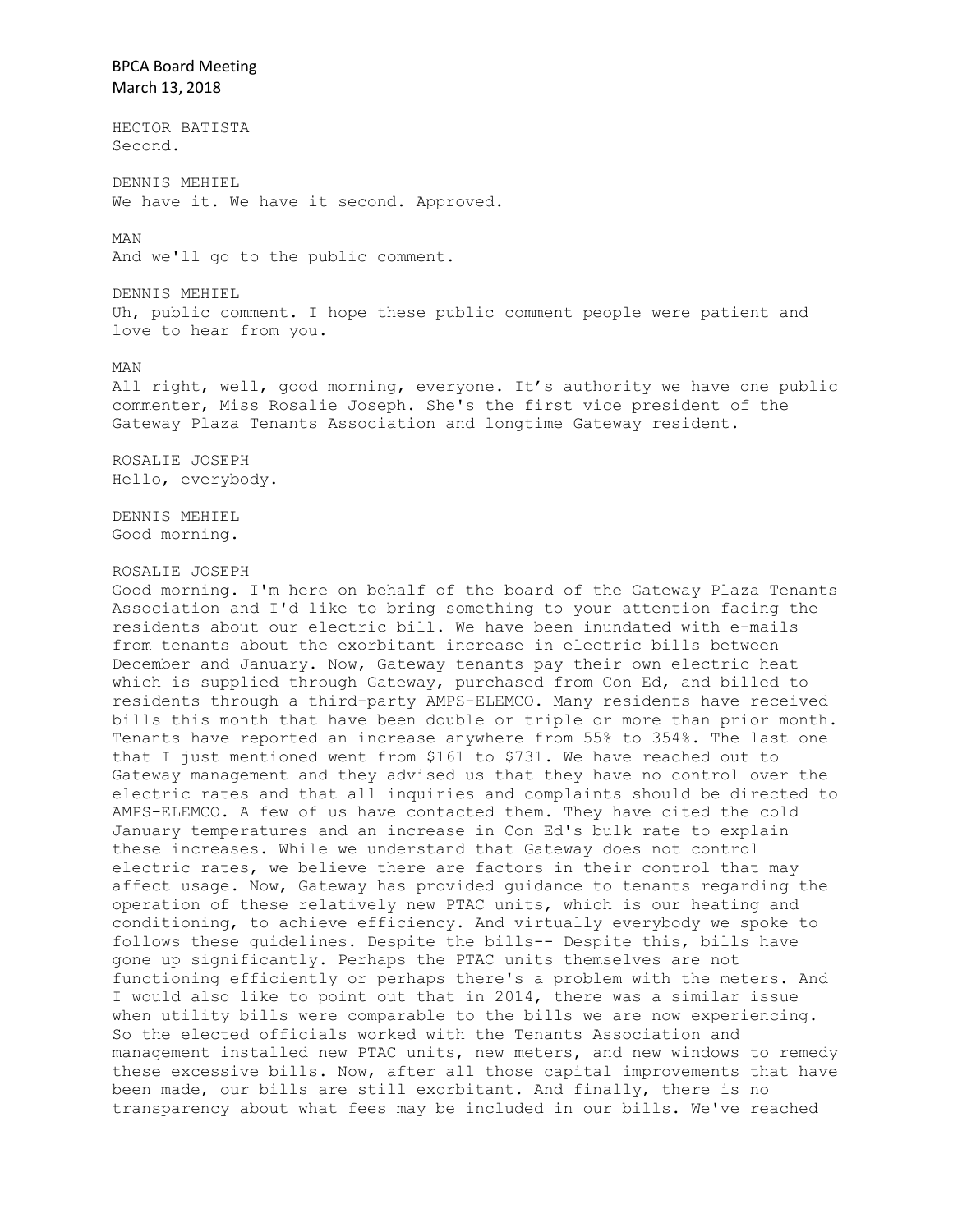BPCA Board Meeting March 13, 2018 HECTOR BATISTA Second. DENNIS MEHIEL We have it. We have it second. Approved. MAN And we'll go to the public comment. DENNIS MEHIEL Uh, public comment. I hope these public comment people were patient and love to hear from you. MAN All right, well, good morning, everyone. It's authority we have one public commenter, Miss Rosalie Joseph. She's the first vice president of the Gateway Plaza Tenants Association and longtime Gateway resident. ROSALIE JOSEPH Hello, everybody. DENNIS MEHIEL Good morning. ROSALIE JOSEPH Good morning. I'm here on behalf of the board of the Gateway Plaza Tenants Association and I'd like to bring something to your attention facing the residents about our electric bill. We have been inundated with e-mails from tenants about the exorbitant increase in electric bills between December and January. Now, Gateway tenants pay their own electric heat which is supplied through Gateway, purchased from Con Ed, and billed to residents through a third-party AMPS-ELEMCO. Many residents have received bills this month that have been double or triple or more than prior month. Tenants have reported an increase anywhere from 55% to 354%. The last one that I just mentioned went from \$161 to \$731. We have reached out to Gateway management and they advised us that they have no control over the electric rates and that all inquiries and complaints should be directed to AMPS-ELEMCO. A few of us have contacted them. They have cited the cold January temperatures and an increase in Con Ed's bulk rate to explain these increases. While we understand that Gateway does not control electric rates, we believe there are factors in their control that may affect usage. Now, Gateway has provided guidance to tenants regarding the operation of these relatively new PTAC units, which is our heating and conditioning, to achieve efficiency. And virtually everybody we spoke to follows these guidelines. Despite the bills-- Despite this, bills have gone up significantly. Perhaps the PTAC units themselves are not functioning efficiently or perhaps there's a problem with the meters. And I would also like to point out that in 2014, there was a similar issue when utility bills were comparable to the bills we are now experiencing. So the elected officials worked with the Tenants Association and management installed new PTAC units, new meters, and new windows to remedy these excessive bills. Now, after all those capital improvements that have been made, our bills are still exorbitant. And finally, there is no transparency about what fees may be included in our bills. We've reached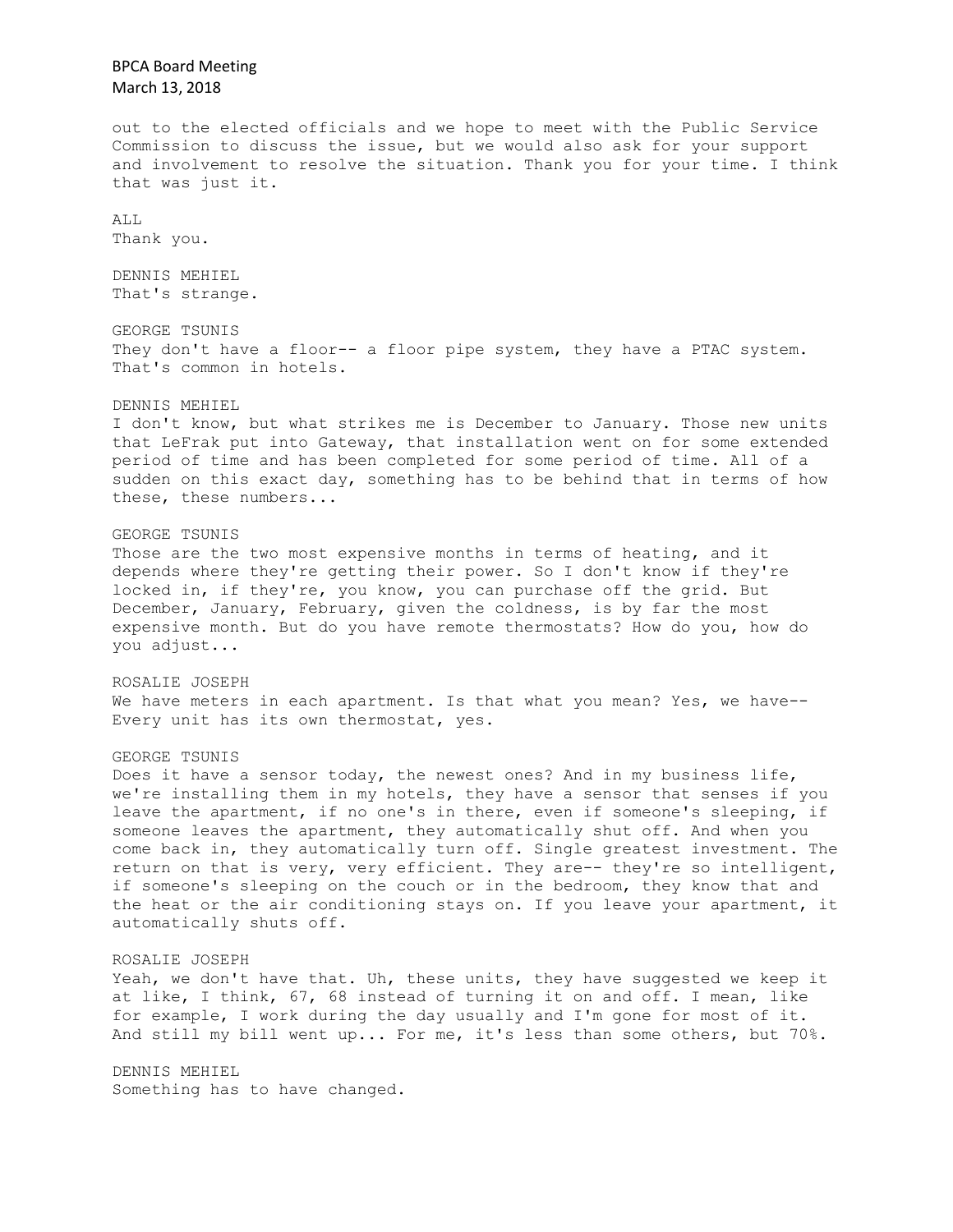BPCA Board Meeting March 13, 2018 out to the elected officials and we hope to meet with the Public Service Commission to discuss the issue, but we would also ask for your support and involvement to resolve the situation. Thank you for your time. I think that was just it. ALL Thank you. DENNIS MEHIEL That's strange. GEORGE TSUNIS They don't have a floor-- a floor pipe system, they have a PTAC system. That's common in hotels. DENNIS MEHIEL I don't know, but what strikes me is December to January. Those new units that LeFrak put into Gateway, that installation went on for some extended period of time and has been completed for some period of time. All of a sudden on this exact day, something has to be behind that in terms of how these, these numbers... GEORGE TSUNIS Those are the two most expensive months in terms of heating, and it depends where they're getting their power. So I don't know if they're locked in, if they're, you know, you can purchase off the grid. But December, January, February, given the coldness, is by far the most expensive month. But do you have remote thermostats? How do you, how do you adjust... ROSALIE JOSEPH We have meters in each apartment. Is that what you mean? Yes, we have--Every unit has its own thermostat, yes. GEORGE TSUNIS Does it have a sensor today, the newest ones? And in my business life, we're installing them in my hotels, they have a sensor that senses if you leave the apartment, if no one's in there, even if someone's sleeping, if someone leaves the apartment, they automatically shut off. And when you come back in, they automatically turn off. Single greatest investment. The return on that is very, very efficient. They are-- they're so intelligent, if someone's sleeping on the couch or in the bedroom, they know that and the heat or the air conditioning stays on. If you leave your apartment, it automatically shuts off. ROSALIE JOSEPH Yeah, we don't have that. Uh, these units, they have suggested we keep it at like, I think, 67, 68 instead of turning it on and off. I mean, like for example, I work during the day usually and I'm gone for most of it. And still my bill went up... For me, it's less than some others, but 70%. DENNIS MEHIEL Something has to have changed.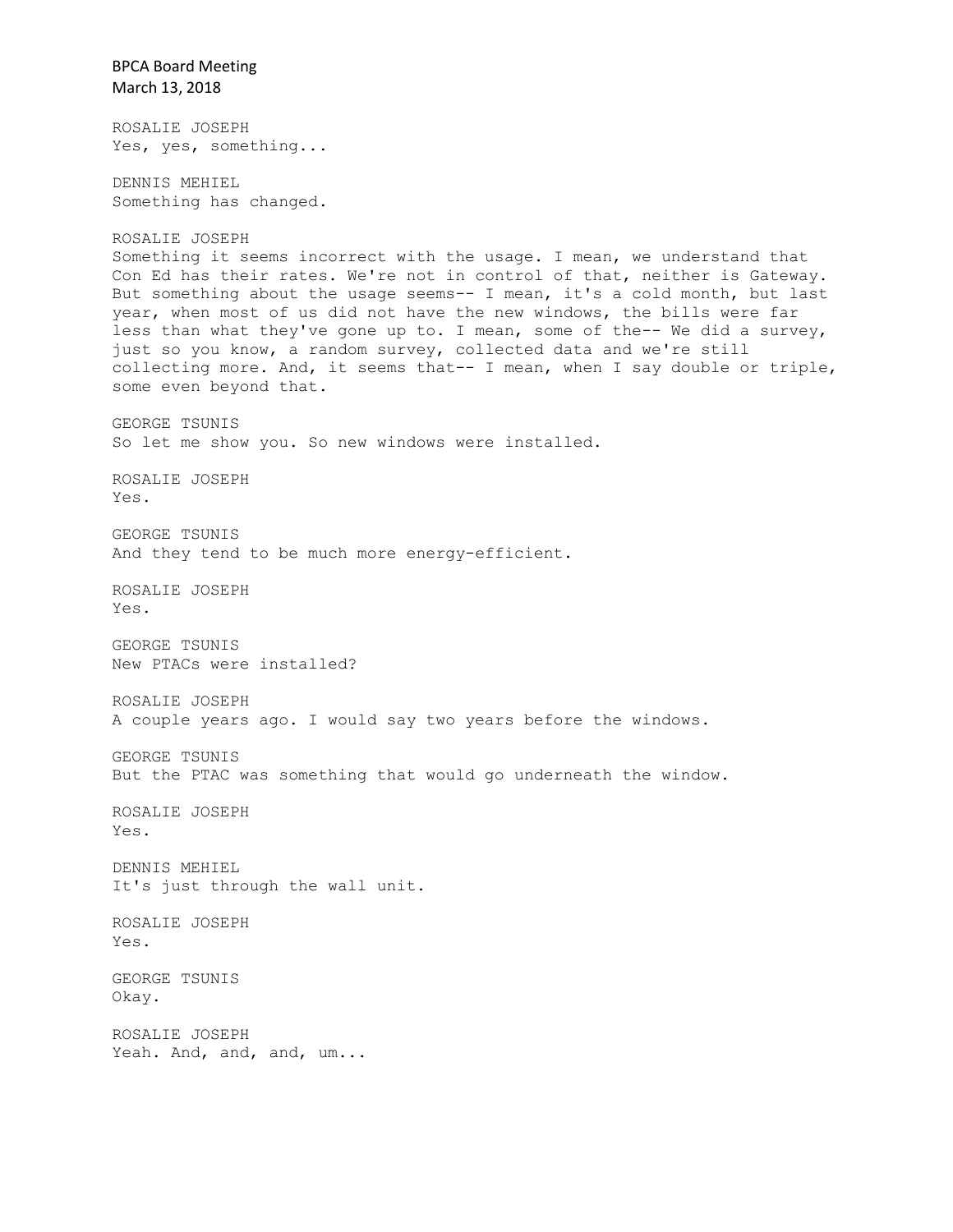BPCA Board Meeting March 13, 2018 ROSALIE JOSEPH Yes, yes, something... DENNIS MEHIEL Something has changed. ROSALIE JOSEPH Something it seems incorrect with the usage. I mean, we understand that Con Ed has their rates. We're not in control of that, neither is Gateway. But something about the usage seems-- I mean, it's a cold month, but last year, when most of us did not have the new windows, the bills were far less than what they've gone up to. I mean, some of the-- We did a survey, just so you know, a random survey, collected data and we're still collecting more. And, it seems that-- I mean, when I say double or triple, some even beyond that. GEORGE TSUNIS So let me show you. So new windows were installed. ROSALIE JOSEPH Yes. GEORGE TSUNIS And they tend to be much more energy-efficient. ROSALIE JOSEPH Yes. GEORGE TSUNIS New PTACs were installed? ROSALIE JOSEPH A couple years ago. I would say two years before the windows. GEORGE TSUNIS But the PTAC was something that would go underneath the window. ROSALIE JOSEPH Yes. DENNIS MEHIEL It's just through the wall unit. ROSALIE JOSEPH Yes. GEORGE TSUNIS Okay. ROSALIE JOSEPH Yeah. And, and, and, um...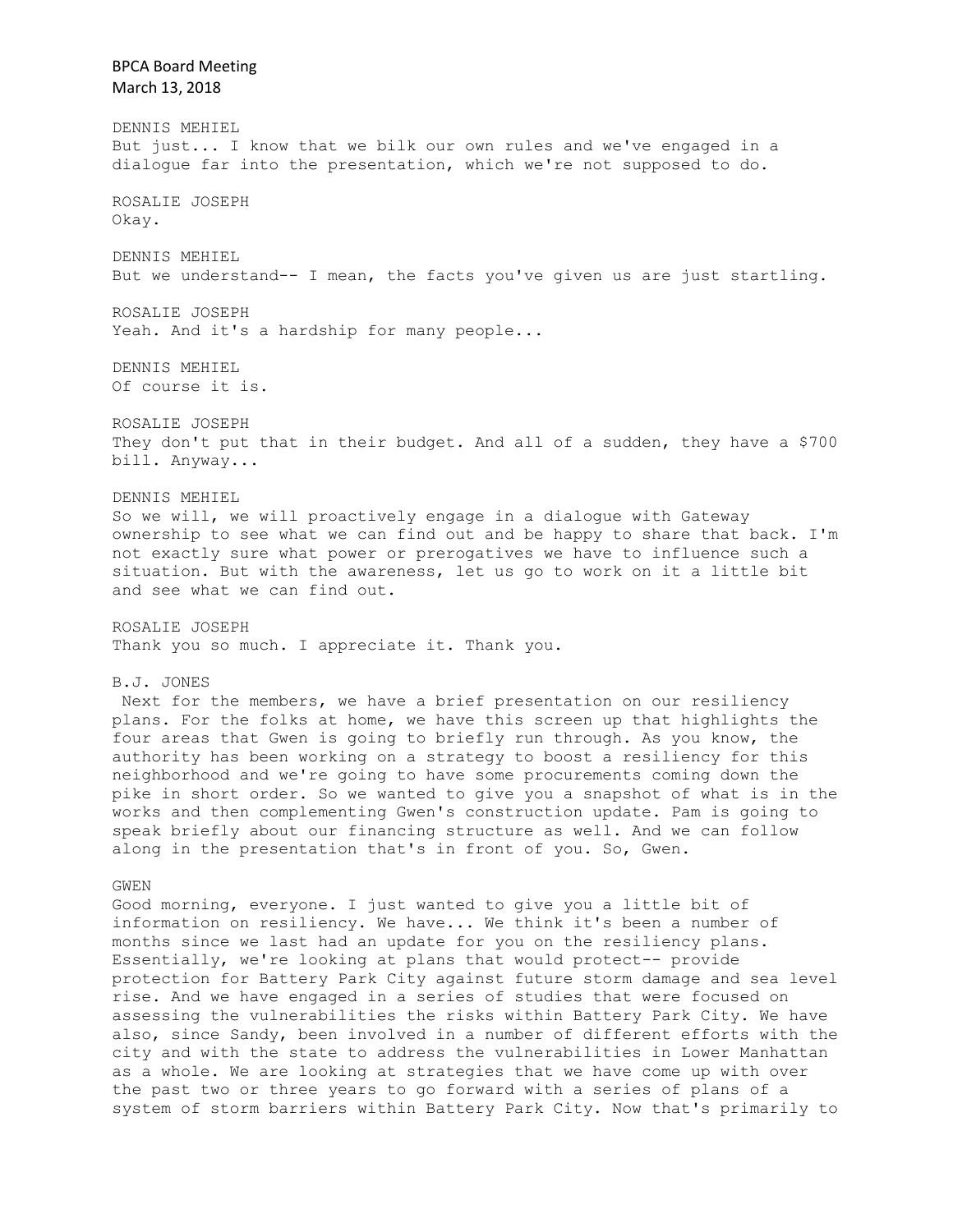BPCA Board Meeting March 13, 2018 DENNIS MEHIEL But just... I know that we bilk our own rules and we've engaged in a dialogue far into the presentation, which we're not supposed to do. ROSALIE JOSEPH Okay. DENNIS MEHIEL But we understand-- I mean, the facts you've given us are just startling. ROSALIE JOSEPH Yeah. And it's a hardship for many people... DENNIS MEHIEL Of course it is. ROSALIE JOSEPH They don't put that in their budget. And all of a sudden, they have a \$700 bill. Anyway... DENNIS MEHIEL So we will, we will proactively engage in a dialogue with Gateway ownership to see what we can find out and be happy to share that back. I'm not exactly sure what power or prerogatives we have to influence such a situation. But with the awareness, let us go to work on it a little bit and see what we can find out. ROSALIE JOSEPH Thank you so much. I appreciate it. Thank you. B.J. JONES Next for the members, we have a brief presentation on our resiliency plans. For the folks at home, we have this screen up that highlights the four areas that Gwen is going to briefly run through. As you know, the authority has been working on a strategy to boost a resiliency for this neighborhood and we're going to have some procurements coming down the pike in short order. So we wanted to give you a snapshot of what is in the works and then complementing Gwen's construction update. Pam is going to speak briefly about our financing structure as well. And we can follow along in the presentation that's in front of you. So, Gwen. GWEN Good morning, everyone. I just wanted to give you a little bit of information on resiliency. We have... We think it's been a number of months since we last had an update for you on the resiliency plans. Essentially, we're looking at plans that would protect-- provide protection for Battery Park City against future storm damage and sea level rise. And we have engaged in a series of studies that were focused on assessing the vulnerabilities the risks within Battery Park City. We have also, since Sandy, been involved in a number of different efforts with the city and with the state to address the vulnerabilities in Lower Manhattan as a whole. We are looking at strategies that we have come up with over the past two or three years to go forward with a series of plans of a system of storm barriers within Battery Park City. Now that's primarily to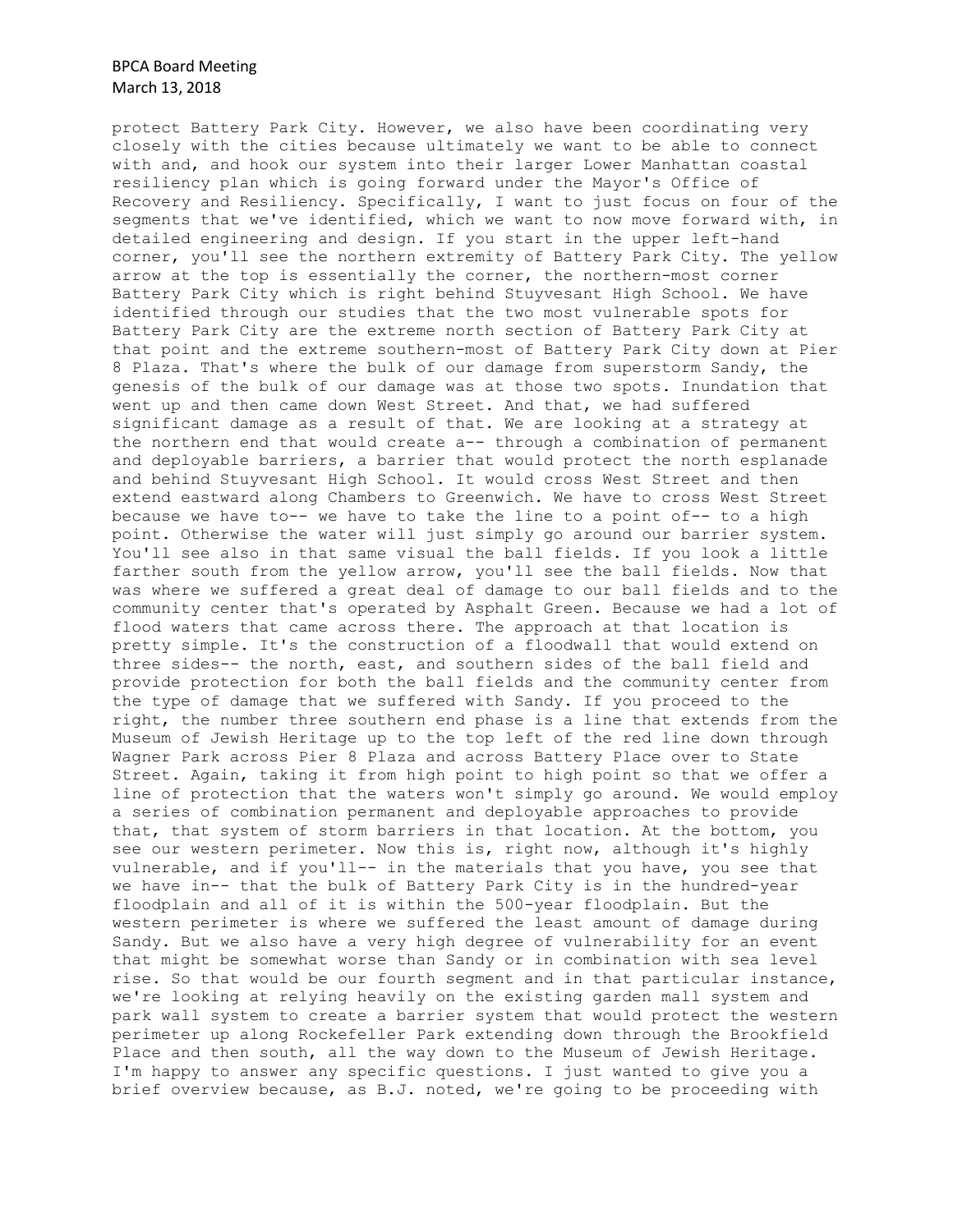protect Battery Park City. However, we also have been coordinating very closely with the cities because ultimately we want to be able to connect with and, and hook our system into their larger Lower Manhattan coastal resiliency plan which is going forward under the Mayor's Office of Recovery and Resiliency. Specifically, I want to just focus on four of the segments that we've identified, which we want to now move forward with, in detailed engineering and design. If you start in the upper left-hand corner, you'll see the northern extremity of Battery Park City. The yellow arrow at the top is essentially the corner, the northern-most corner Battery Park City which is right behind Stuyvesant High School. We have identified through our studies that the two most vulnerable spots for Battery Park City are the extreme north section of Battery Park City at that point and the extreme southern-most of Battery Park City down at Pier 8 Plaza. That's where the bulk of our damage from superstorm Sandy, the genesis of the bulk of our damage was at those two spots. Inundation that went up and then came down West Street. And that, we had suffered significant damage as a result of that. We are looking at a strategy at the northern end that would create a-- through a combination of permanent and deployable barriers, a barrier that would protect the north esplanade and behind Stuyvesant High School. It would cross West Street and then extend eastward along Chambers to Greenwich. We have to cross West Street because we have to-- we have to take the line to a point of-- to a high point. Otherwise the water will just simply go around our barrier system. You'll see also in that same visual the ball fields. If you look a little farther south from the yellow arrow, you'll see the ball fields. Now that was where we suffered a great deal of damage to our ball fields and to the community center that's operated by Asphalt Green. Because we had a lot of flood waters that came across there. The approach at that location is pretty simple. It's the construction of a floodwall that would extend on three sides-- the north, east, and southern sides of the ball field and provide protection for both the ball fields and the community center from the type of damage that we suffered with Sandy. If you proceed to the right, the number three southern end phase is a line that extends from the Museum of Jewish Heritage up to the top left of the red line down through Wagner Park across Pier 8 Plaza and across Battery Place over to State Street. Again, taking it from high point to high point so that we offer a line of protection that the waters won't simply go around. We would employ a series of combination permanent and deployable approaches to provide that, that system of storm barriers in that location. At the bottom, you see our western perimeter. Now this is, right now, although it's highly vulnerable, and if you'll-- in the materials that you have, you see that we have in-- that the bulk of Battery Park City is in the hundred-year floodplain and all of it is within the 500-year floodplain. But the western perimeter is where we suffered the least amount of damage during Sandy. But we also have a very high degree of vulnerability for an event that might be somewhat worse than Sandy or in combination with sea level rise. So that would be our fourth segment and in that particular instance, we're looking at relying heavily on the existing garden mall system and park wall system to create a barrier system that would protect the western perimeter up along Rockefeller Park extending down through the Brookfield Place and then south, all the way down to the Museum of Jewish Heritage. I'm happy to answer any specific questions. I just wanted to give you a brief overview because, as B.J. noted, we're going to be proceeding with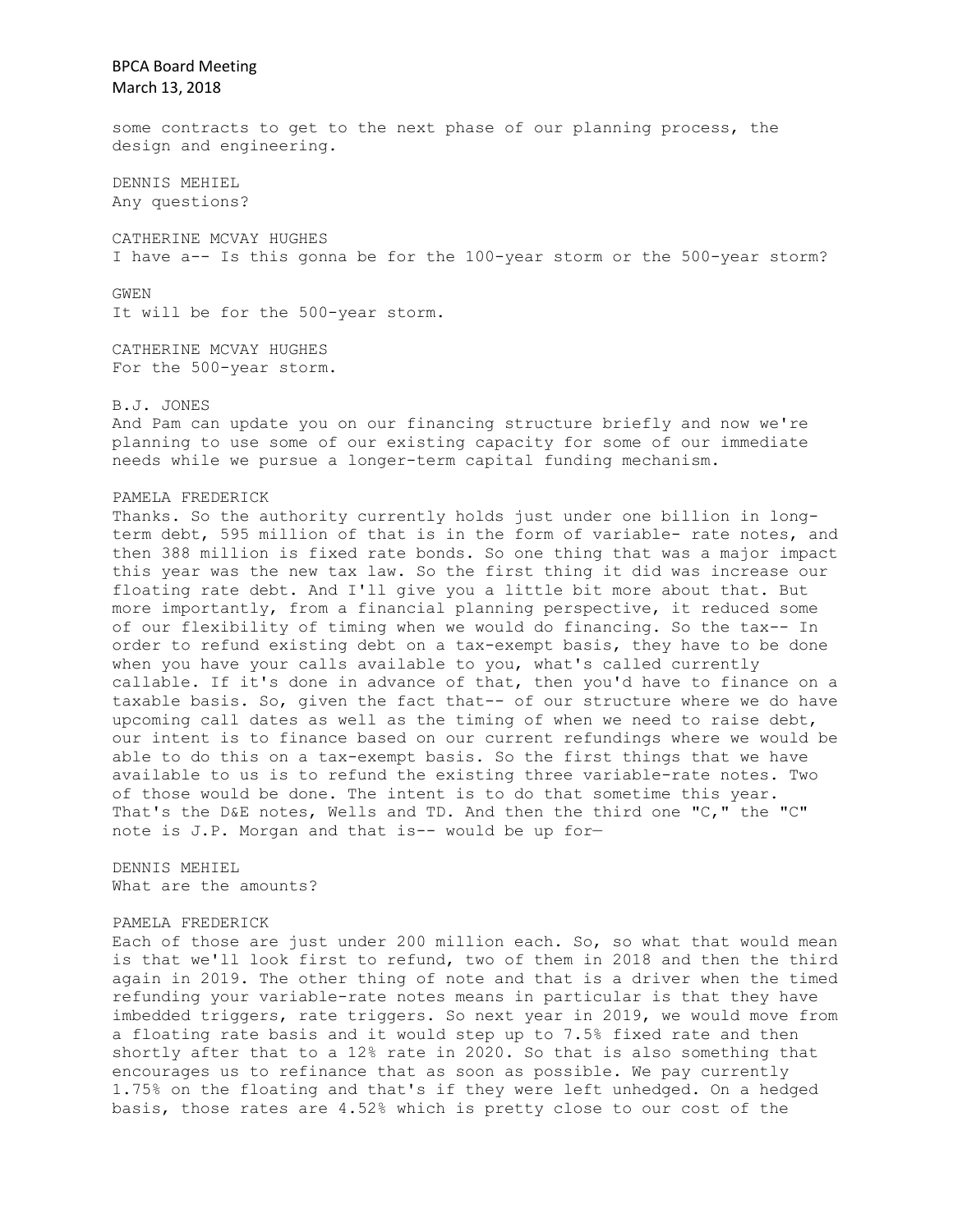some contracts to get to the next phase of our planning process, the design and engineering.

DENNIS MEHIEL Any questions?

CATHERINE MCVAY HUGHES I have a-- Is this gonna be for the 100-year storm or the 500-year storm?

GWEN

It will be for the 500-year storm.

CATHERINE MCVAY HUGHES For the 500-year storm.

B.J. JONES

And Pam can update you on our financing structure briefly and now we're planning to use some of our existing capacity for some of our immediate needs while we pursue a longer-term capital funding mechanism.

#### PAMELA FREDERICK

Thanks. So the authority currently holds just under one billion in longterm debt, 595 million of that is in the form of variable- rate notes, and then 388 million is fixed rate bonds. So one thing that was a major impact this year was the new tax law. So the first thing it did was increase our floating rate debt. And I'll give you a little bit more about that. But more importantly, from a financial planning perspective, it reduced some of our flexibility of timing when we would do financing. So the tax-- In order to refund existing debt on a tax-exempt basis, they have to be done when you have your calls available to you, what's called currently callable. If it's done in advance of that, then you'd have to finance on a taxable basis. So, given the fact that-- of our structure where we do have upcoming call dates as well as the timing of when we need to raise debt, our intent is to finance based on our current refundings where we would be able to do this on a tax-exempt basis. So the first things that we have available to us is to refund the existing three variable-rate notes. Two of those would be done. The intent is to do that sometime this year. That's the D&E notes, Wells and TD. And then the third one "C," the "C" note is J.P. Morgan and that is-- would be up for—

DENNIS MEHIEL What are the amounts?

### PAMELA FREDERICK

Each of those are just under 200 million each. So, so what that would mean is that we'll look first to refund, two of them in 2018 and then the third again in 2019. The other thing of note and that is a driver when the timed refunding your variable-rate notes means in particular is that they have imbedded triggers, rate triggers. So next year in 2019, we would move from a floating rate basis and it would step up to 7.5% fixed rate and then shortly after that to a 12% rate in 2020. So that is also something that encourages us to refinance that as soon as possible. We pay currently 1.75% on the floating and that's if they were left unhedged. On a hedged basis, those rates are 4.52% which is pretty close to our cost of the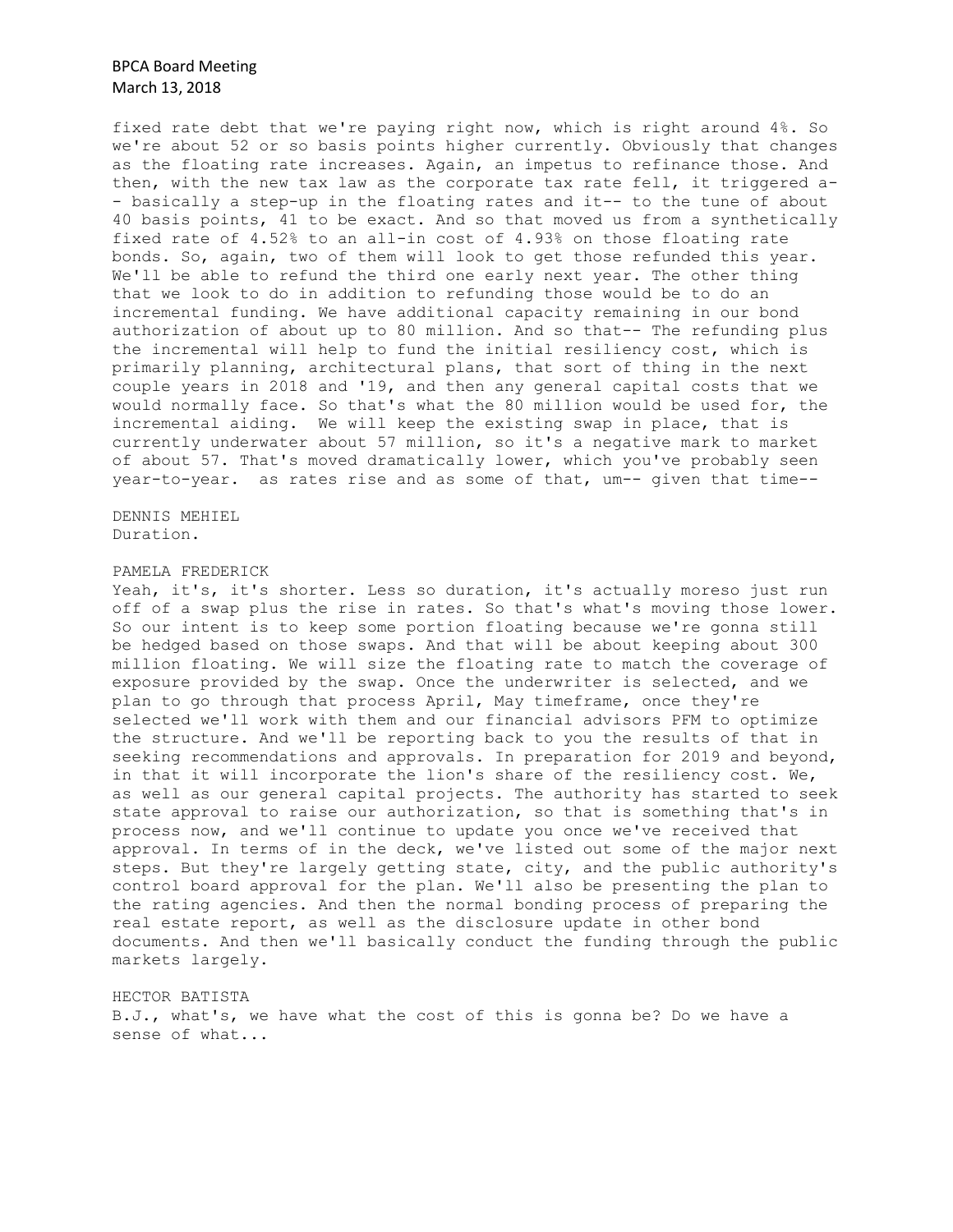fixed rate debt that we're paying right now, which is right around 4%. So we're about 52 or so basis points higher currently. Obviously that changes as the floating rate increases. Again, an impetus to refinance those. And then, with the new tax law as the corporate tax rate fell, it triggered a- - basically a step-up in the floating rates and it-- to the tune of about 40 basis points, 41 to be exact. And so that moved us from a synthetically fixed rate of 4.52% to an all-in cost of 4.93% on those floating rate bonds. So, again, two of them will look to get those refunded this year. We'll be able to refund the third one early next year. The other thing that we look to do in addition to refunding those would be to do an incremental funding. We have additional capacity remaining in our bond authorization of about up to 80 million. And so that-- The refunding plus the incremental will help to fund the initial resiliency cost, which is primarily planning, architectural plans, that sort of thing in the next couple years in 2018 and '19, and then any general capital costs that we would normally face. So that's what the 80 million would be used for, the incremental aiding. We will keep the existing swap in place, that is currently underwater about 57 million, so it's a negative mark to market of about 57. That's moved dramatically lower, which you've probably seen year-to-year. as rates rise and as some of that, um-- given that time--

DENNIS MEHIEL Duration.

#### PAMELA FREDERICK

Yeah, it's, it's shorter. Less so duration, it's actually moreso just run off of a swap plus the rise in rates. So that's what's moving those lower. So our intent is to keep some portion floating because we're gonna still be hedged based on those swaps. And that will be about keeping about 300 million floating. We will size the floating rate to match the coverage of exposure provided by the swap. Once the underwriter is selected, and we plan to go through that process April, May timeframe, once they're selected we'll work with them and our financial advisors PFM to optimize the structure. And we'll be reporting back to you the results of that in seeking recommendations and approvals. In preparation for 2019 and beyond, in that it will incorporate the lion's share of the resiliency cost. We, as well as our general capital projects. The authority has started to seek state approval to raise our authorization, so that is something that's in process now, and we'll continue to update you once we've received that approval. In terms of in the deck, we've listed out some of the major next steps. But they're largely getting state, city, and the public authority's control board approval for the plan. We'll also be presenting the plan to the rating agencies. And then the normal bonding process of preparing the real estate report, as well as the disclosure update in other bond documents. And then we'll basically conduct the funding through the public markets largely.

HECTOR BATISTA

B.J., what's, we have what the cost of this is gonna be? Do we have a sense of what...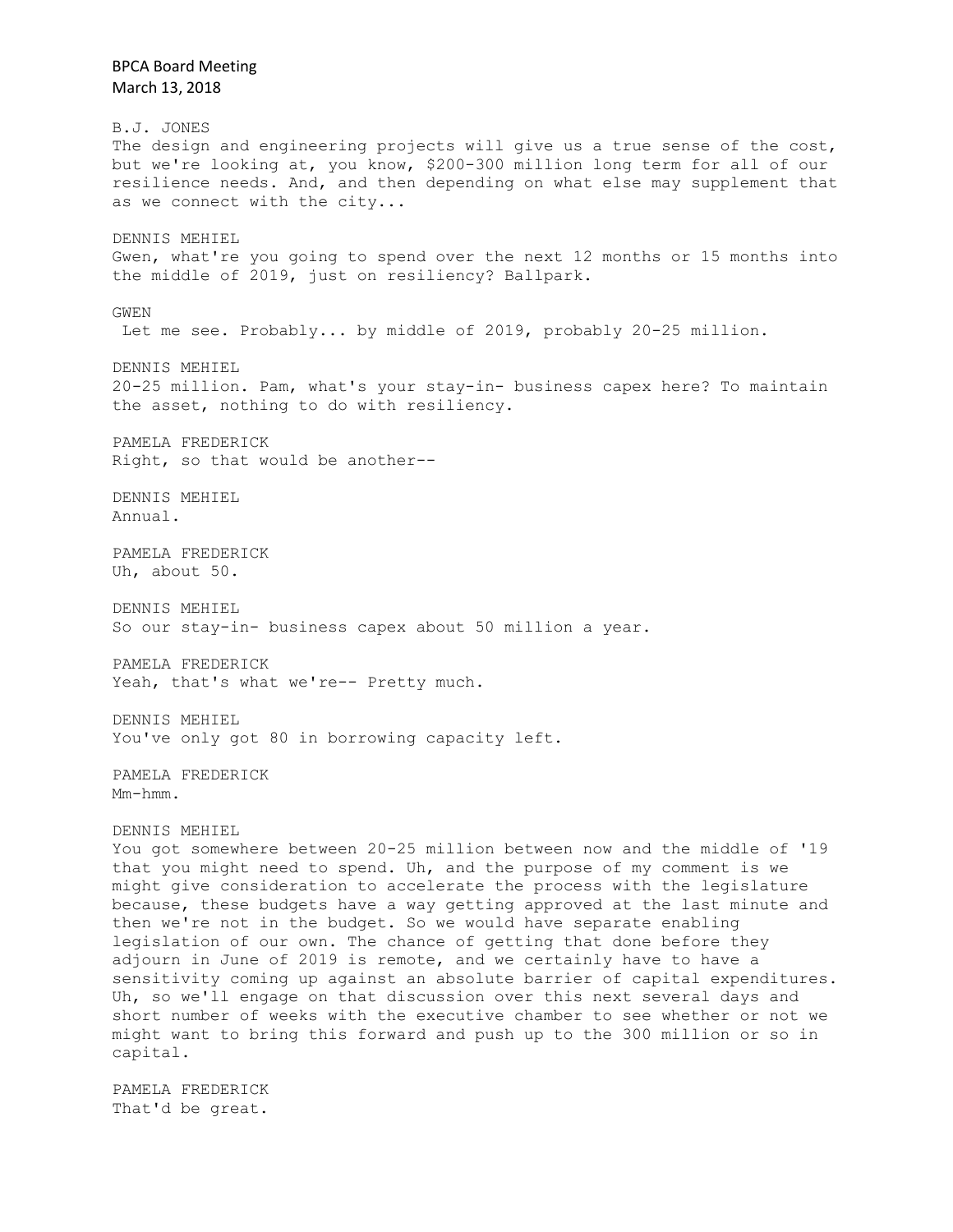March 13, 2018 B.J. JONES The design and engineering projects will give us a true sense of the cost, but we're looking at, you know, \$200-300 million long term for all of our resilience needs. And, and then depending on what else may supplement that as we connect with the city... DENNIS MEHIEL Gwen, what're you going to spend over the next 12 months or 15 months into the middle of 2019, just on resiliency? Ballpark. GWEN Let me see. Probably... by middle of 2019, probably 20-25 million. DENNIS MEHIEL 20-25 million. Pam, what's your stay-in- business capex here? To maintain the asset, nothing to do with resiliency. PAMELA FREDERICK Right, so that would be another-- DENNIS MEHIEL Annual. PAMELA FREDERICK Uh, about 50. DENNIS MEHIEL So our stay-in- business capex about 50 million a year. PAMELA FREDERICK Yeah, that's what we're-- Pretty much. DENNIS MEHIEL You've only got 80 in borrowing capacity left. PAMELA FREDERICK Mm-hmm. DENNIS MEHIEL You got somewhere between 20-25 million between now and the middle of '19 that you might need to spend. Uh, and the purpose of my comment is we might give consideration to accelerate the process with the legislature because, these budgets have a way getting approved at the last minute and then we're not in the budget. So we would have separate enabling legislation of our own. The chance of getting that done before they adjourn in June of 2019 is remote, and we certainly have to have a sensitivity coming up against an absolute barrier of capital expenditures. Uh, so we'll engage on that discussion over this next several days and short number of weeks with the executive chamber to see whether or not we might want to bring this forward and push up to the 300 million or so in capital. PAMELA FREDERICK

BPCA Board Meeting

That'd be great.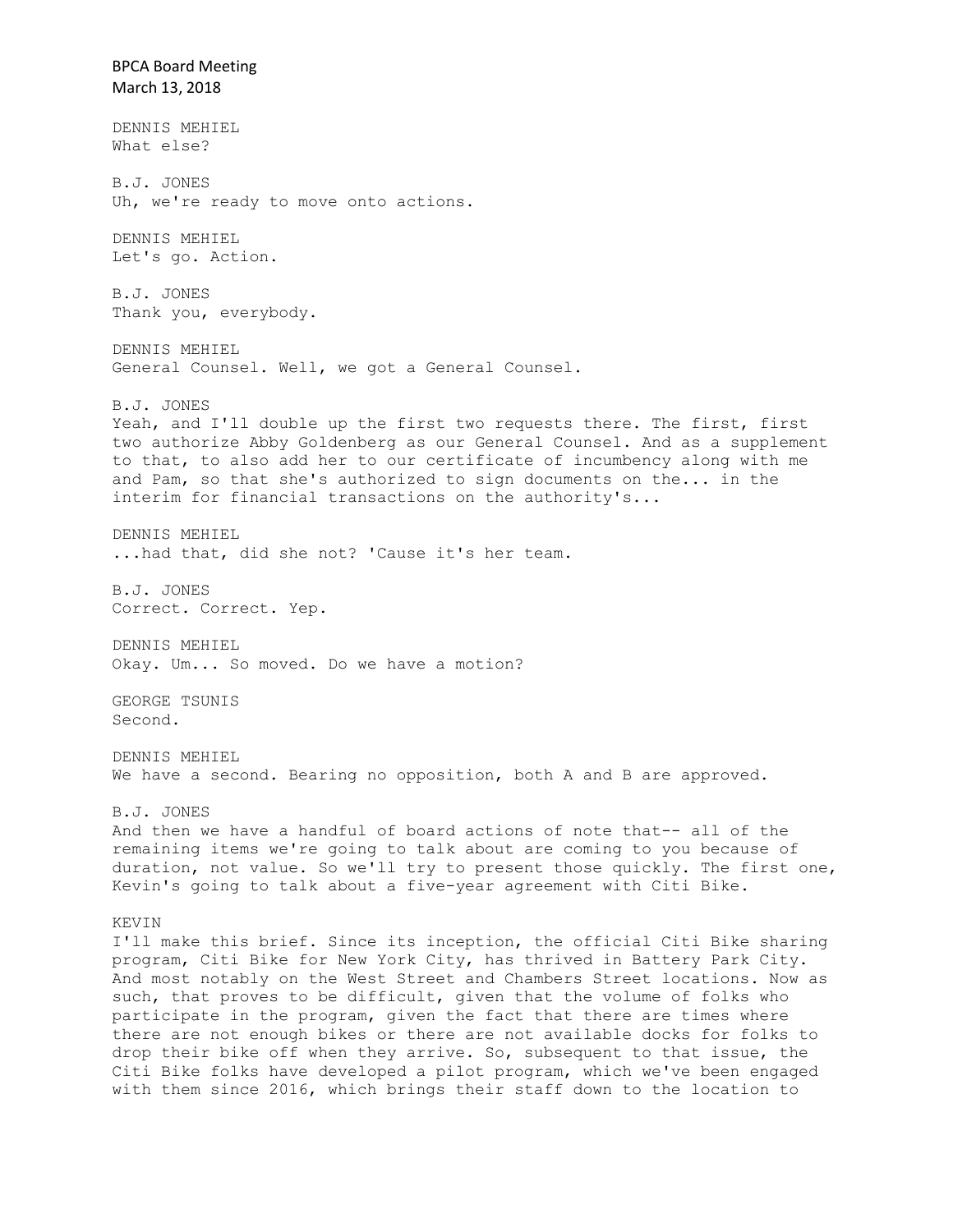BPCA Board Meeting March 13, 2018 DENNIS MEHIEL What else? B.J. JONES Uh, we're ready to move onto actions. DENNIS MEHIEL Let's go. Action. B.J. JONES Thank you, everybody. DENNIS MEHIEL General Counsel. Well, we got a General Counsel. B.J. JONES Yeah, and I'll double up the first two requests there. The first, first two authorize Abby Goldenberg as our General Counsel. And as a supplement to that, to also add her to our certificate of incumbency along with me and Pam, so that she's authorized to sign documents on the... in the interim for financial transactions on the authority's... DENNIS MEHIEL ...had that, did she not? 'Cause it's her team. B.J. JONES Correct. Correct. Yep. DENNIS MEHIEL Okay. Um... So moved. Do we have a motion? GEORGE TSUNIS Second. DENNIS MEHIEL We have a second. Bearing no opposition, both A and B are approved. B.J. JONES And then we have a handful of board actions of note that-- all of the remaining items we're going to talk about are coming to you because of duration, not value. So we'll try to present those quickly. The first one, Kevin's going to talk about a five-year agreement with Citi Bike. KEVIN I'll make this brief. Since its inception, the official Citi Bike sharing program, Citi Bike for New York City, has thrived in Battery Park City. And most notably on the West Street and Chambers Street locations. Now as such, that proves to be difficult, given that the volume of folks who participate in the program, given the fact that there are times where there are not enough bikes or there are not available docks for folks to drop their bike off when they arrive. So, subsequent to that issue, the Citi Bike folks have developed a pilot program, which we've been engaged with them since 2016, which brings their staff down to the location to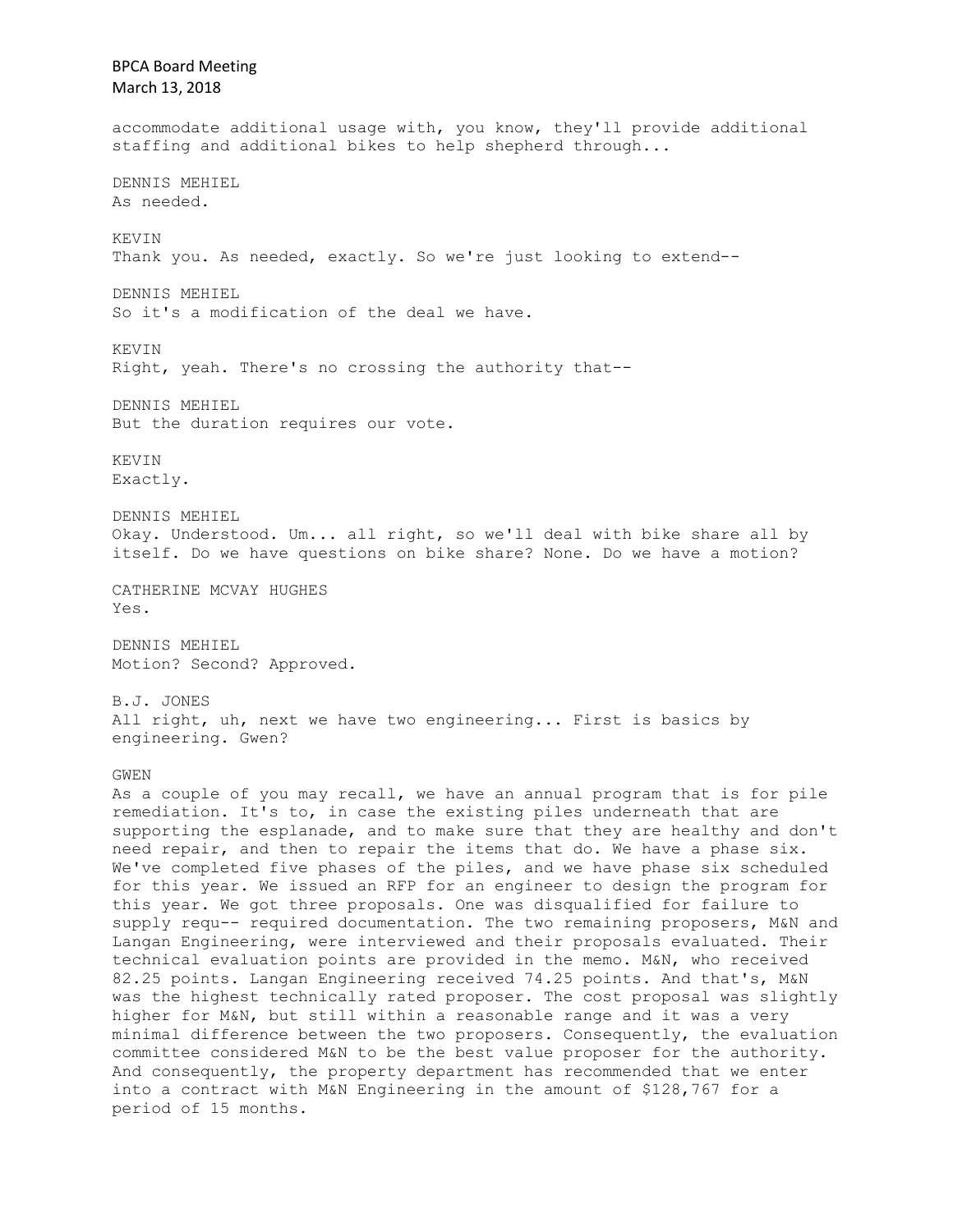BPCA Board Meeting March 13, 2018 accommodate additional usage with, you know, they'll provide additional staffing and additional bikes to help shepherd through... DENNIS MEHIEL As needed. KEVIN Thank you. As needed, exactly. So we're just looking to extend-- DENNIS MEHIEL So it's a modification of the deal we have. **KEVIN** Right, yeah. There's no crossing the authority that-- DENNIS MEHIEL But the duration requires our vote. KEVIN Exactly. DENNIS MEHIEL Okay. Understood. Um... all right, so we'll deal with bike share all by itself. Do we have questions on bike share? None. Do we have a motion? CATHERINE MCVAY HUGHES Yes. DENNIS MEHIEL Motion? Second? Approved. B.J. JONES All right, uh, next we have two engineering... First is basics by engineering. Gwen? GWEN As a couple of you may recall, we have an annual program that is for pile remediation. It's to, in case the existing piles underneath that are supporting the esplanade, and to make sure that they are healthy and don't need repair, and then to repair the items that do. We have a phase six. We've completed five phases of the piles, and we have phase six scheduled for this year. We issued an RFP for an engineer to design the program for this year. We got three proposals. One was disqualified for failure to supply requ-- required documentation. The two remaining proposers, M&N and Langan Engineering, were interviewed and their proposals evaluated. Their technical evaluation points are provided in the memo. M&N, who received 82.25 points. Langan Engineering received 74.25 points. And that's, M&N was the highest technically rated proposer. The cost proposal was slightly higher for M&N, but still within a reasonable range and it was a very minimal difference between the two proposers. Consequently, the evaluation committee considered M&N to be the best value proposer for the authority. And consequently, the property department has recommended that we enter into a contract with M&N Engineering in the amount of \$128,767 for a period of 15 months.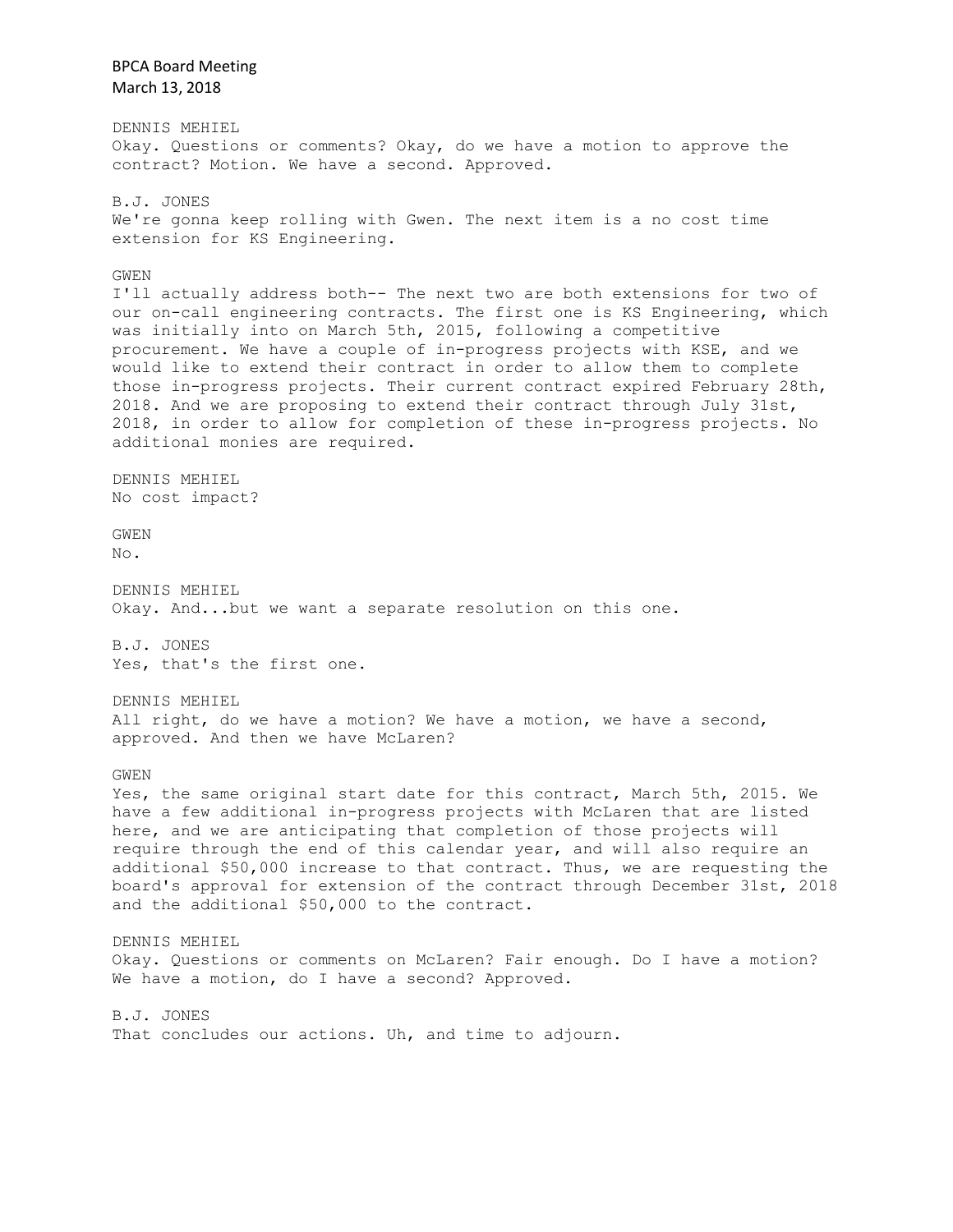BPCA Board Meeting March 13, 2018 DENNIS MEHIEL Okay. Questions or comments? Okay, do we have a motion to approve the contract? Motion. We have a second. Approved. B.J. JONES We're gonna keep rolling with Gwen. The next item is a no cost time extension for KS Engineering. GWEN I'll actually address both-- The next two are both extensions for two of our on-call engineering contracts. The first one is KS Engineering, which was initially into on March 5th, 2015, following a competitive procurement. We have a couple of in-progress projects with KSE, and we would like to extend their contract in order to allow them to complete those in-progress projects. Their current contract expired February 28th, 2018. And we are proposing to extend their contract through July 31st, 2018, in order to allow for completion of these in-progress projects. No additional monies are required. DENNIS MEHIEL No cost impact? GWEN  $N<sub>O</sub>$ . DENNIS MEHIEL Okay. And...but we want a separate resolution on this one. B.J. JONES Yes, that's the first one. DENNIS MEHIEL All right, do we have a motion? We have a motion, we have a second, approved. And then we have McLaren? GWEN Yes, the same original start date for this contract, March 5th, 2015. We have a few additional in-progress projects with McLaren that are listed here, and we are anticipating that completion of those projects will require through the end of this calendar year, and will also require an additional \$50,000 increase to that contract. Thus, we are requesting the board's approval for extension of the contract through December 31st, 2018 and the additional \$50,000 to the contract. DENNIS MEHIEL Okay. Questions or comments on McLaren? Fair enough. Do I have a motion? We have a motion, do I have a second? Approved. B.J. JONES That concludes our actions. Uh, and time to adjourn.